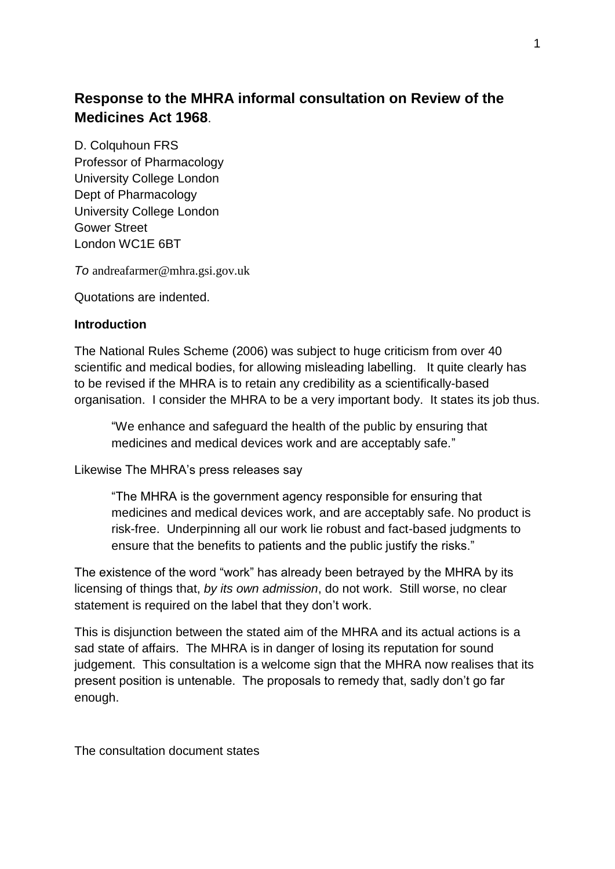# **Response to the MHRA informal consultation on Review of the Medicines Act 1968**.

D. Colquhoun FRS Professor of Pharmacology University College London Dept of Pharmacology University College London Gower Street London WC1E 6BT

*To* andreafarmer@mhra.gsi.gov.uk

Quotations are indented.

#### **Introduction**

The National Rules Scheme (2006) was subject to huge criticism from over 40 scientific and medical bodies, for allowing misleading labelling. It quite clearly has to be revised if the MHRA is to retain any credibility as a scientifically-based organisation. I consider the MHRA to be a very important body. It states its job thus.

"We enhance and safeguard the health of the public by ensuring that medicines and medical devices work and are acceptably safe."

Likewise The MHRA's press releases say

―The MHRA is the government agency responsible for ensuring that medicines and medical devices work, and are acceptably safe. No product is risk-free. Underpinning all our work lie robust and fact-based judgments to ensure that the benefits to patients and the public justify the risks."

The existence of the word "work" has already been betrayed by the MHRA by its licensing of things that, *by its own admission*, do not work. Still worse, no clear statement is required on the label that they don't work.

This is disjunction between the stated aim of the MHRA and its actual actions is a sad state of affairs. The MHRA is in danger of losing its reputation for sound judgement. This consultation is a welcome sign that the MHRA now realises that its present position is untenable. The proposals to remedy that, sadly don't go far enough.

The consultation document states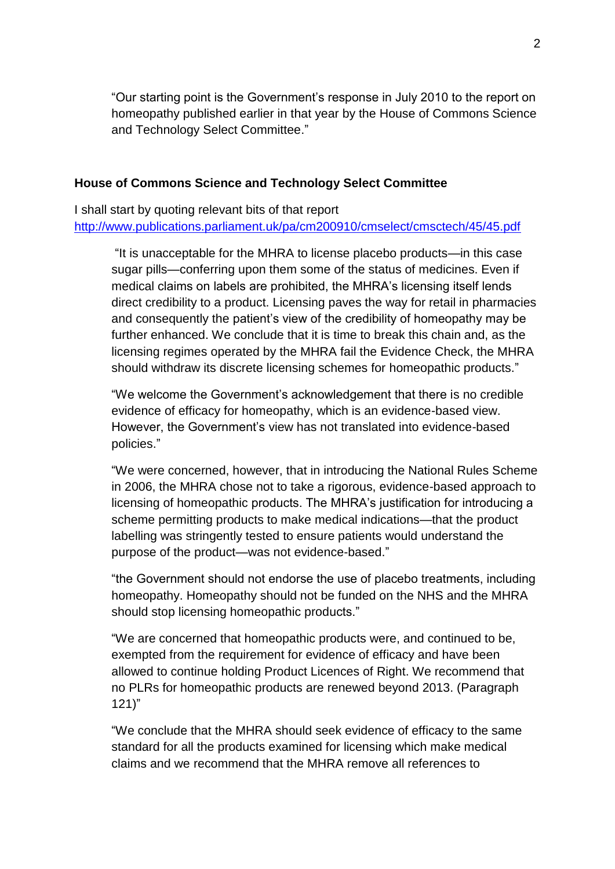―Our starting point is the Government's response in July 2010 to the report on homeopathy published earlier in that year by the House of Commons Science and Technology Select Committee."

#### **House of Commons Science and Technology Select Committee**

I shall start by quoting relevant bits of that report <http://www.publications.parliament.uk/pa/cm200910/cmselect/cmsctech/45/45.pdf>

"It is unacceptable for the MHRA to license placebo products—in this case sugar pills—conferring upon them some of the status of medicines. Even if medical claims on labels are prohibited, the MHRA's licensing itself lends direct credibility to a product. Licensing paves the way for retail in pharmacies and consequently the patient's view of the credibility of homeopathy may be further enhanced. We conclude that it is time to break this chain and, as the licensing regimes operated by the MHRA fail the Evidence Check, the MHRA should withdraw its discrete licensing schemes for homeopathic products."

"We welcome the Government's acknowledgement that there is no credible evidence of efficacy for homeopathy, which is an evidence-based view. However, the Government's view has not translated into evidence-based policies."

"We were concerned, however, that in introducing the National Rules Scheme in 2006, the MHRA chose not to take a rigorous, evidence-based approach to licensing of homeopathic products. The MHRA's justification for introducing a scheme permitting products to make medical indications—that the product labelling was stringently tested to ensure patients would understand the purpose of the product—was not evidence-based."

―the Government should not endorse the use of placebo treatments, including homeopathy. Homeopathy should not be funded on the NHS and the MHRA should stop licensing homeopathic products."

"We are concerned that homeopathic products were, and continued to be, exempted from the requirement for evidence of efficacy and have been allowed to continue holding Product Licences of Right. We recommend that no PLRs for homeopathic products are renewed beyond 2013. (Paragraph  $121$ 

"We conclude that the MHRA should seek evidence of efficacy to the same standard for all the products examined for licensing which make medical claims and we recommend that the MHRA remove all references to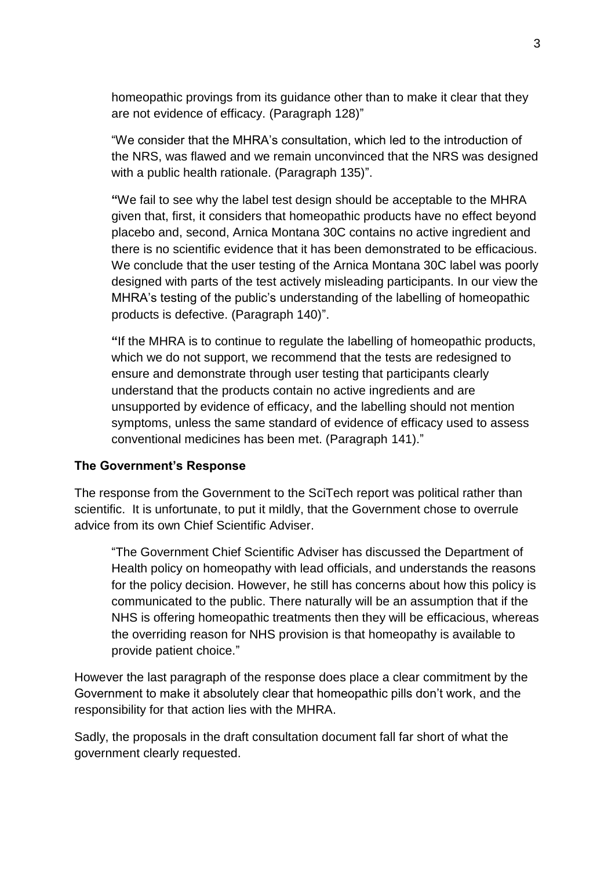homeopathic provings from its guidance other than to make it clear that they are not evidence of efficacy. (Paragraph 128)"

―We consider that the MHRA's consultation, which led to the introduction of the NRS, was flawed and we remain unconvinced that the NRS was designed with a public health rationale. (Paragraph 135)".

**"**We fail to see why the label test design should be acceptable to the MHRA given that, first, it considers that homeopathic products have no effect beyond placebo and, second, Arnica Montana 30C contains no active ingredient and there is no scientific evidence that it has been demonstrated to be efficacious. We conclude that the user testing of the Arnica Montana 30C label was poorly designed with parts of the test actively misleading participants. In our view the MHRA's testing of the public's understanding of the labelling of homeopathic products is defective. (Paragraph 140)".

**"**If the MHRA is to continue to regulate the labelling of homeopathic products, which we do not support, we recommend that the tests are redesigned to ensure and demonstrate through user testing that participants clearly understand that the products contain no active ingredients and are unsupported by evidence of efficacy, and the labelling should not mention symptoms, unless the same standard of evidence of efficacy used to assess conventional medicines has been met. (Paragraph 141)."

## **The Government's Response**

The response from the Government to the SciTech report was political rather than scientific. It is unfortunate, to put it mildly, that the Government chose to overrule advice from its own Chief Scientific Adviser.

―The Government Chief Scientific Adviser has discussed the Department of Health policy on homeopathy with lead officials, and understands the reasons for the policy decision. However, he still has concerns about how this policy is communicated to the public. There naturally will be an assumption that if the NHS is offering homeopathic treatments then they will be efficacious, whereas the overriding reason for NHS provision is that homeopathy is available to provide patient choice."

However the last paragraph of the response does place a clear commitment by the Government to make it absolutely clear that homeopathic pills don't work, and the responsibility for that action lies with the MHRA.

Sadly, the proposals in the draft consultation document fall far short of what the government clearly requested.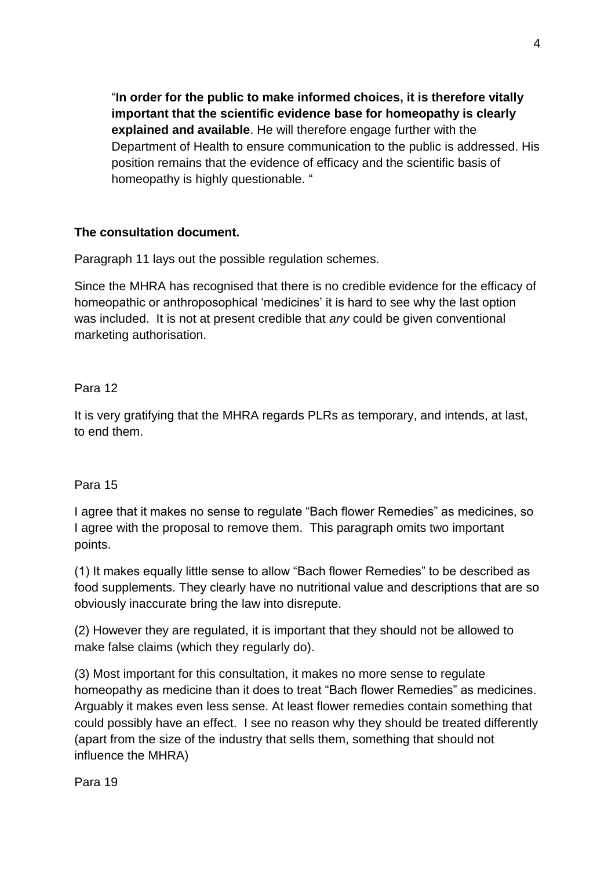―**In order for the public to make informed choices, it is therefore vitally important that the scientific evidence base for homeopathy is clearly explained and available**. He will therefore engage further with the Department of Health to ensure communication to the public is addressed. His position remains that the evidence of efficacy and the scientific basis of homeopathy is highly questionable. "

## **The consultation document.**

Paragraph 11 lays out the possible regulation schemes.

Since the MHRA has recognised that there is no credible evidence for the efficacy of homeopathic or anthroposophical 'medicines' it is hard to see why the last option was included. It is not at present credible that *any* could be given conventional marketing authorisation.

## Para 12

It is very gratifying that the MHRA regards PLRs as temporary, and intends, at last, to end them.

## Para 15

I agree that it makes no sense to regulate "Bach flower Remedies" as medicines, so I agree with the proposal to remove them. This paragraph omits two important points.

(1) It makes equally little sense to allow "Bach flower Remedies" to be described as food supplements. They clearly have no nutritional value and descriptions that are so obviously inaccurate bring the law into disrepute.

(2) However they are regulated, it is important that they should not be allowed to make false claims (which they regularly do).

(3) Most important for this consultation, it makes no more sense to regulate homeopathy as medicine than it does to treat "Bach flower Remedies" as medicines. Arguably it makes even less sense. At least flower remedies contain something that could possibly have an effect. I see no reason why they should be treated differently (apart from the size of the industry that sells them, something that should not influence the MHRA)

Para 19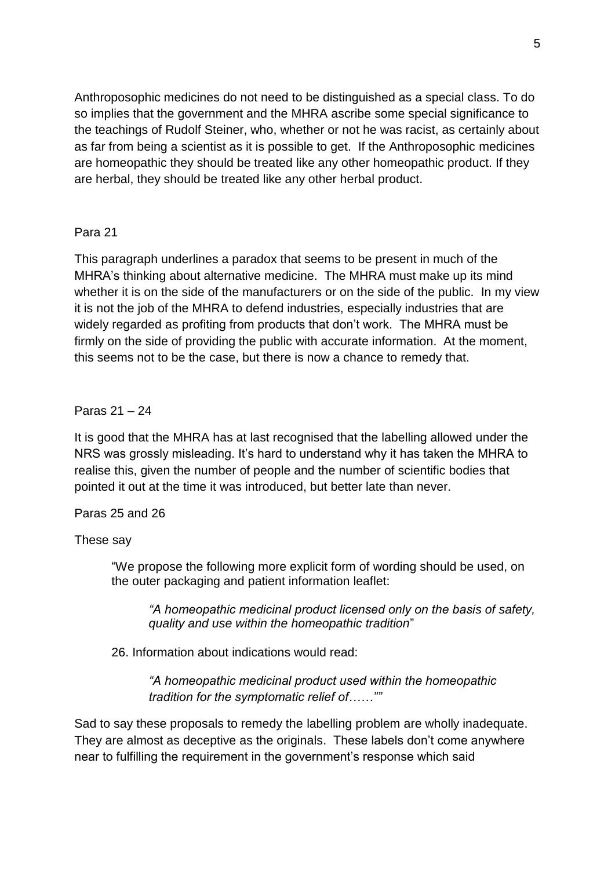Anthroposophic medicines do not need to be distinguished as a special class. To do so implies that the government and the MHRA ascribe some special significance to the teachings of Rudolf Steiner, who, whether or not he was racist, as certainly about as far from being a scientist as it is possible to get. If the Anthroposophic medicines are homeopathic they should be treated like any other homeopathic product. If they are herbal, they should be treated like any other herbal product.

## Para 21

This paragraph underlines a paradox that seems to be present in much of the MHRA's thinking about alternative medicine. The MHRA must make up its mind whether it is on the side of the manufacturers or on the side of the public. In my view it is not the job of the MHRA to defend industries, especially industries that are widely regarded as profiting from products that don't work. The MHRA must be firmly on the side of providing the public with accurate information. At the moment, this seems not to be the case, but there is now a chance to remedy that.

## Paras 21 – 24

It is good that the MHRA has at last recognised that the labelling allowed under the NRS was grossly misleading. It's hard to understand why it has taken the MHRA to realise this, given the number of people and the number of scientific bodies that pointed it out at the time it was introduced, but better late than never.

## Paras 25 and 26

## These say

"We propose the following more explicit form of wording should be used, on the outer packaging and patient information leaflet:

*"A homeopathic medicinal product licensed only on the basis of safety, quality and use within the homeopathic tradition*‖

26. Information about indications would read:

*"A homeopathic medicinal product used within the homeopathic tradition for the symptomatic relief of……""*

Sad to say these proposals to remedy the labelling problem are wholly inadequate. They are almost as deceptive as the originals. These labels don't come anywhere near to fulfilling the requirement in the government's response which said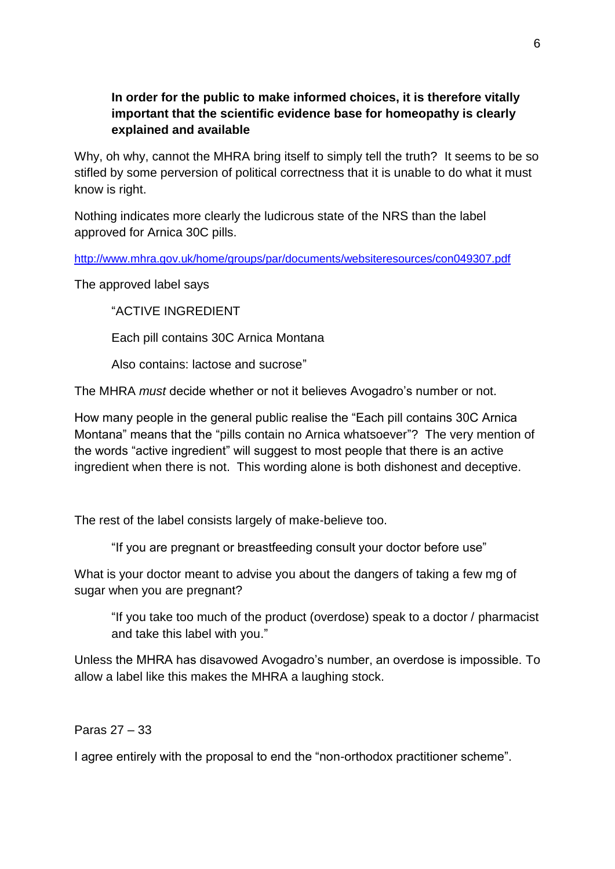# **In order for the public to make informed choices, it is therefore vitally important that the scientific evidence base for homeopathy is clearly explained and available**

Why, oh why, cannot the MHRA bring itself to simply tell the truth? It seems to be so stifled by some perversion of political correctness that it is unable to do what it must know is right.

Nothing indicates more clearly the ludicrous state of the NRS than the label approved for Arnica 30C pills.

<http://www.mhra.gov.uk/home/groups/par/documents/websiteresources/con049307.pdf>

The approved label says

**"ACTIVE INGREDIENT** 

Each pill contains 30C Arnica Montana

Also contains: lactose and sucrose"

The MHRA *must* decide whether or not it believes Avogadro's number or not.

How many people in the general public realise the "Each pill contains 30C Arnica Montana" means that the "pills contain no Arnica whatsoever"? The very mention of the words "active ingredient" will suggest to most people that there is an active ingredient when there is not. This wording alone is both dishonest and deceptive.

The rest of the label consists largely of make-believe too.

"If you are pregnant or breastfeeding consult your doctor before use"

What is your doctor meant to advise you about the dangers of taking a few mg of sugar when you are pregnant?

"If you take too much of the product (overdose) speak to a doctor / pharmacist and take this label with you."

Unless the MHRA has disavowed Avogadro's number, an overdose is impossible. To allow a label like this makes the MHRA a laughing stock.

Paras 27 – 33

I agree entirely with the proposal to end the "non-orthodox practitioner scheme".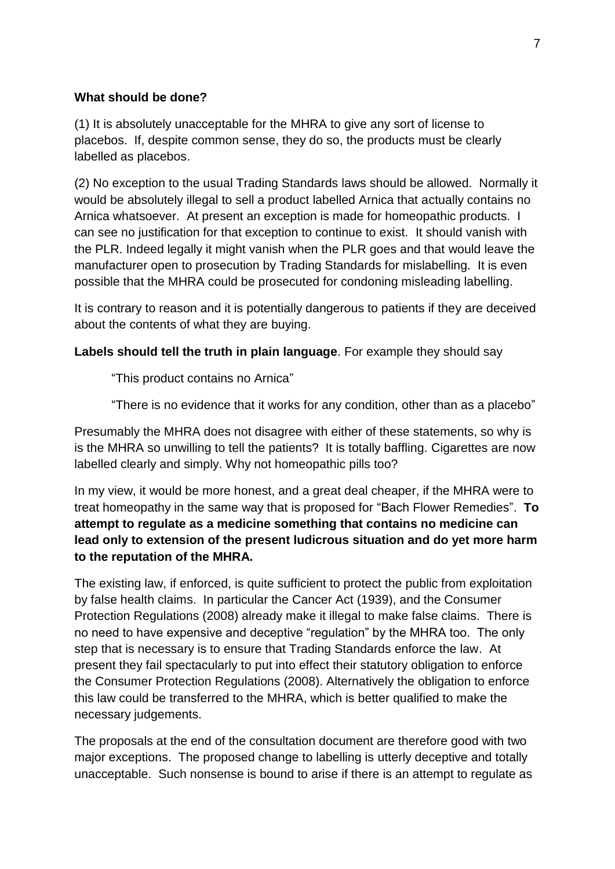## **What should be done?**

(1) It is absolutely unacceptable for the MHRA to give any sort of license to placebos. If, despite common sense, they do so, the products must be clearly labelled as placebos.

(2) No exception to the usual Trading Standards laws should be allowed. Normally it would be absolutely illegal to sell a product labelled Arnica that actually contains no Arnica whatsoever. At present an exception is made for homeopathic products. I can see no justification for that exception to continue to exist. It should vanish with the PLR. Indeed legally it might vanish when the PLR goes and that would leave the manufacturer open to prosecution by Trading Standards for mislabelling. It is even possible that the MHRA could be prosecuted for condoning misleading labelling.

It is contrary to reason and it is potentially dangerous to patients if they are deceived about the contents of what they are buying.

**Labels should tell the truth in plain language**. For example they should say

"This product contains no Arnica"

"There is no evidence that it works for any condition, other than as a placebo"

Presumably the MHRA does not disagree with either of these statements, so why is is the MHRA so unwilling to tell the patients? It is totally baffling. Cigarettes are now labelled clearly and simply. Why not homeopathic pills too?

In my view, it would be more honest, and a great deal cheaper, if the MHRA were to treat homeopathy in the same way that is proposed for "Bach Flower Remedies". To **attempt to regulate as a medicine something that contains no medicine can lead only to extension of the present ludicrous situation and do yet more harm to the reputation of the MHRA.**

The existing law, if enforced, is quite sufficient to protect the public from exploitation by false health claims. In particular the Cancer Act (1939), and the Consumer Protection Regulations (2008) already make it illegal to make false claims. There is no need to have expensive and deceptive "regulation" by the MHRA too. The only step that is necessary is to ensure that Trading Standards enforce the law. At present they fail spectacularly to put into effect their statutory obligation to enforce the Consumer Protection Regulations (2008). Alternatively the obligation to enforce this law could be transferred to the MHRA, which is better qualified to make the necessary judgements.

The proposals at the end of the consultation document are therefore good with two major exceptions. The proposed change to labelling is utterly deceptive and totally unacceptable. Such nonsense is bound to arise if there is an attempt to regulate as